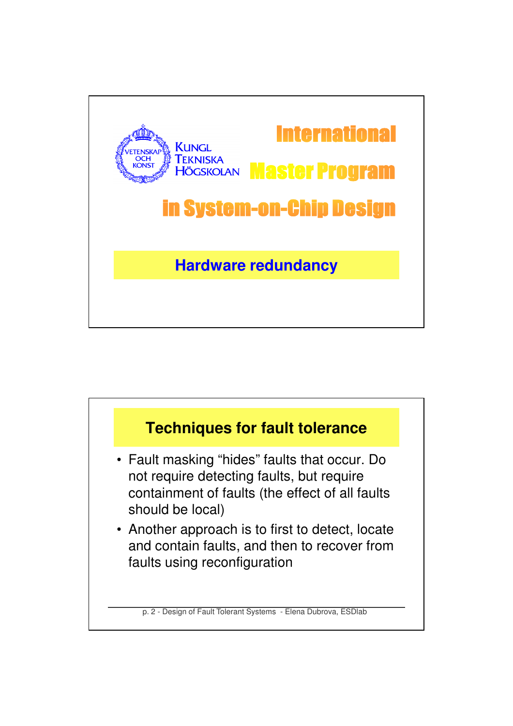

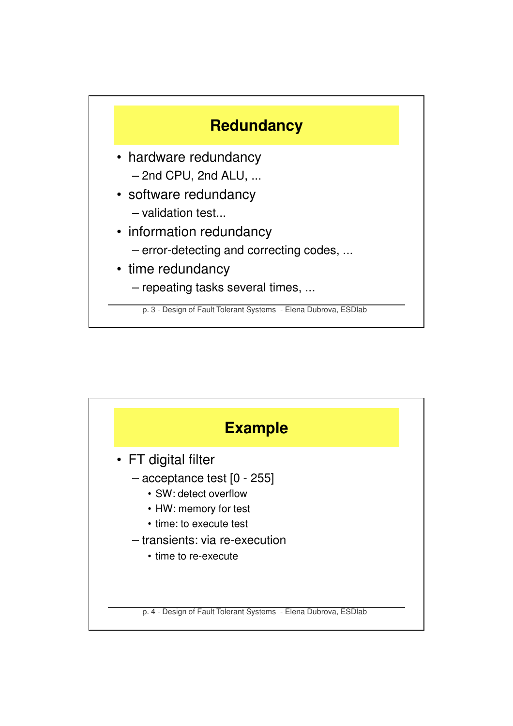

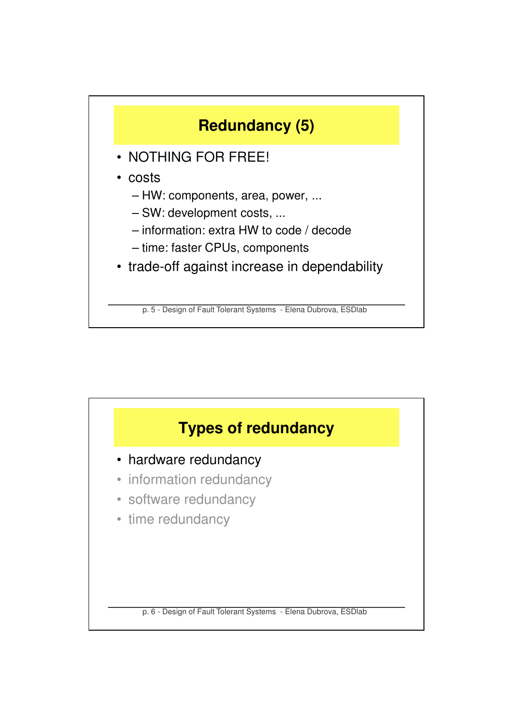

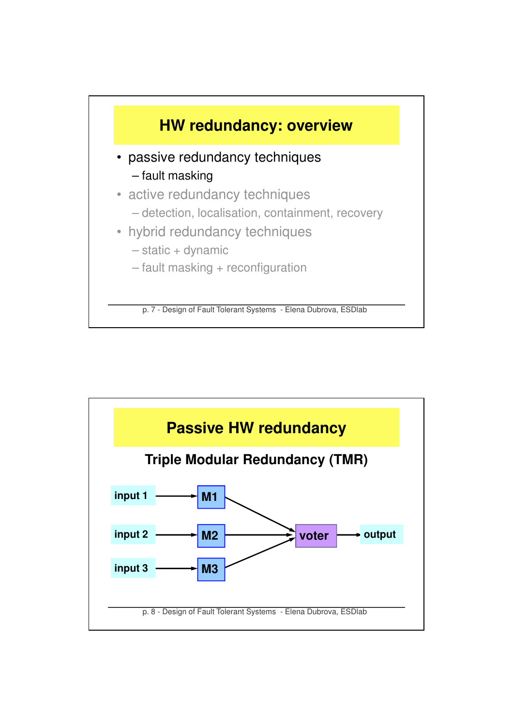

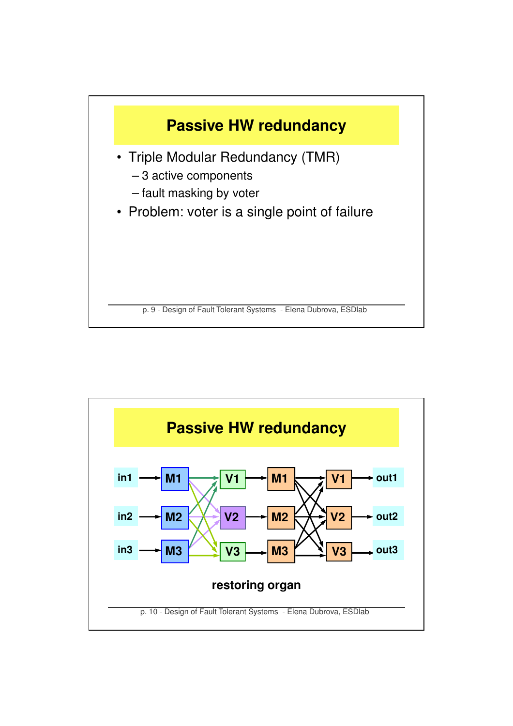

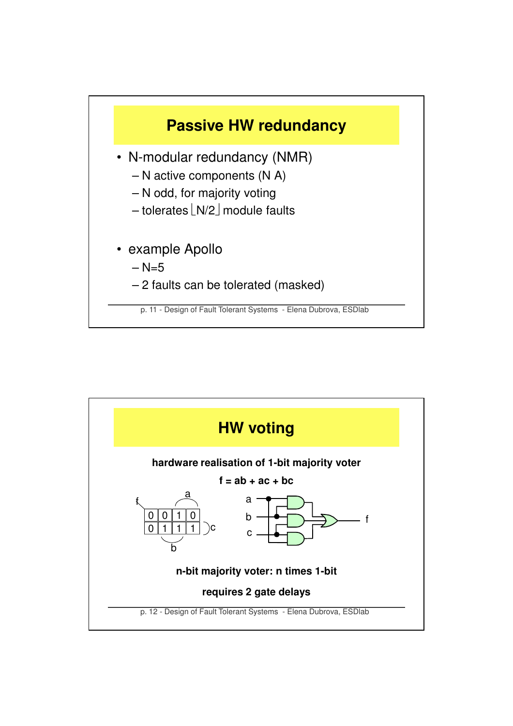

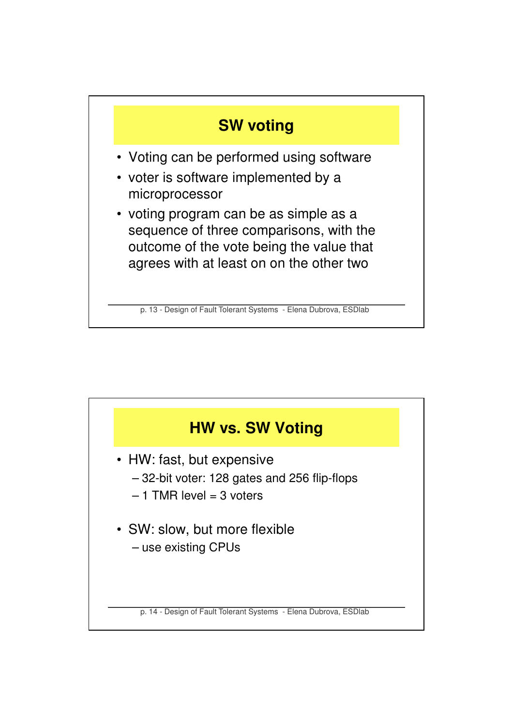

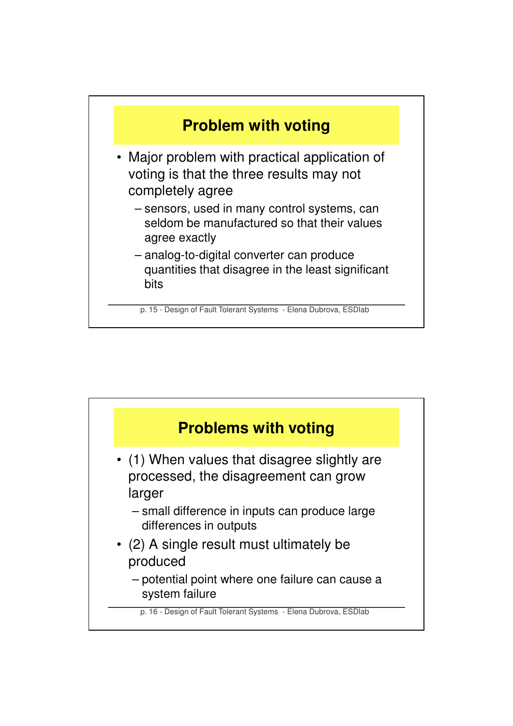

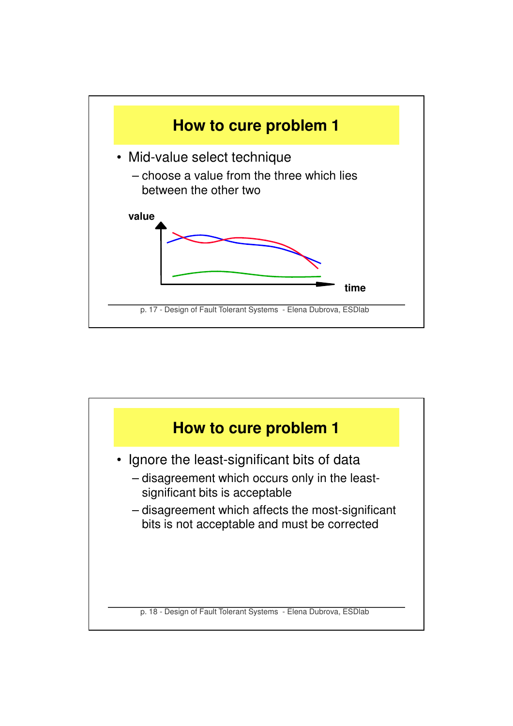

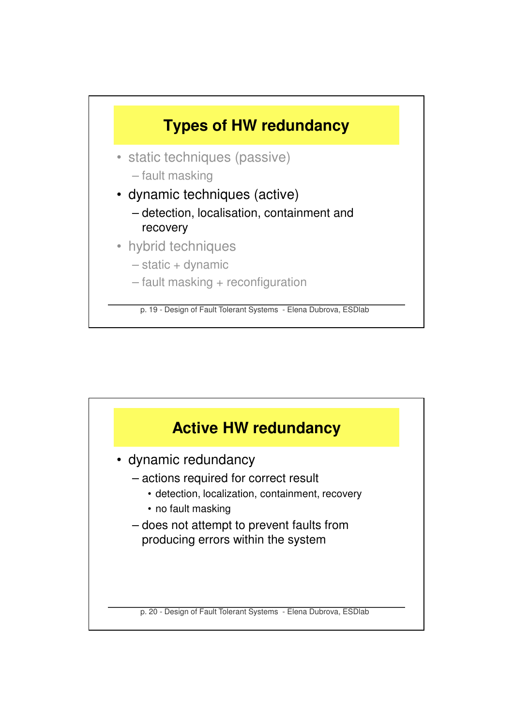

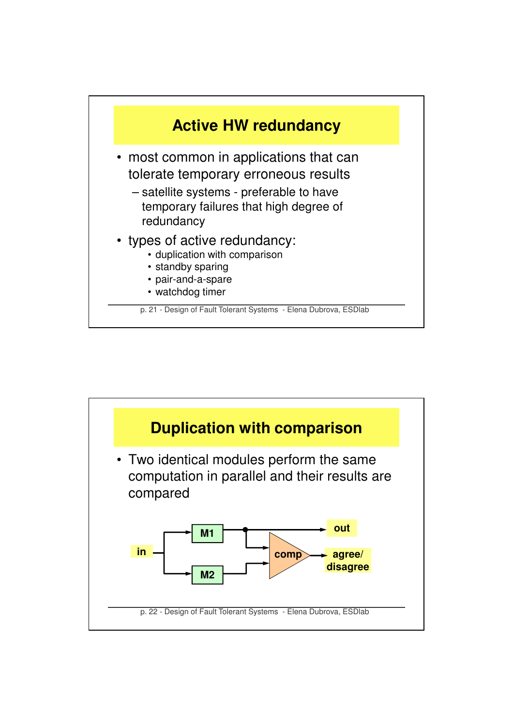

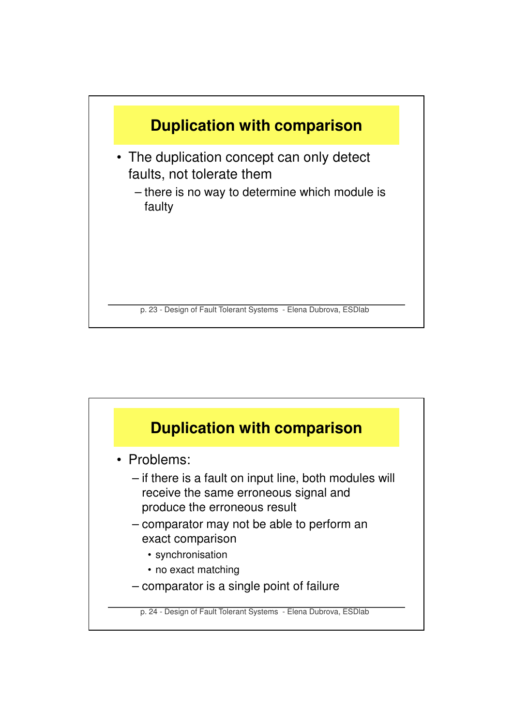

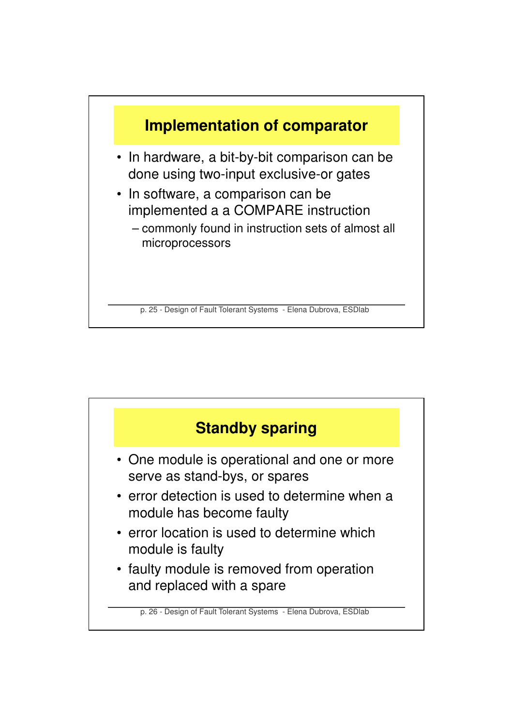

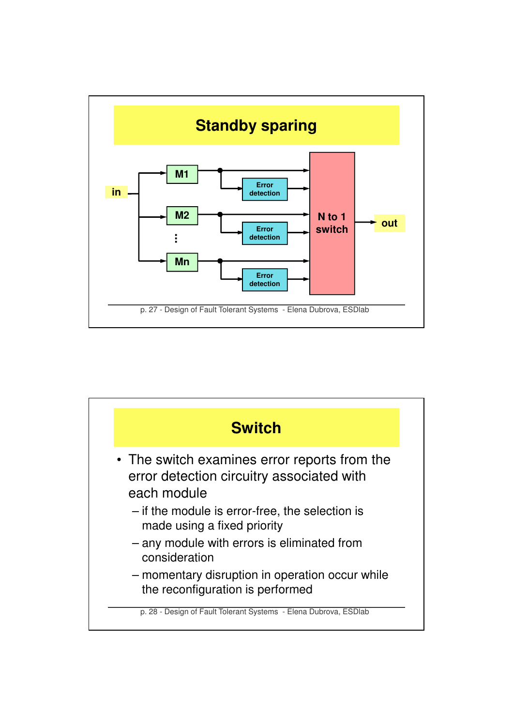

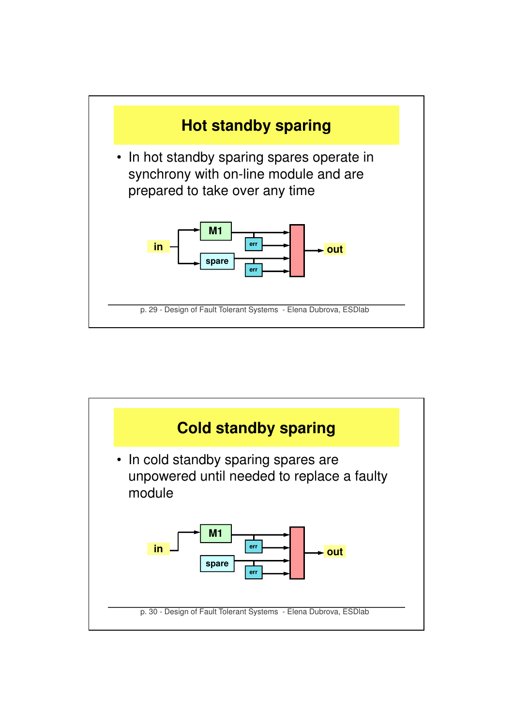

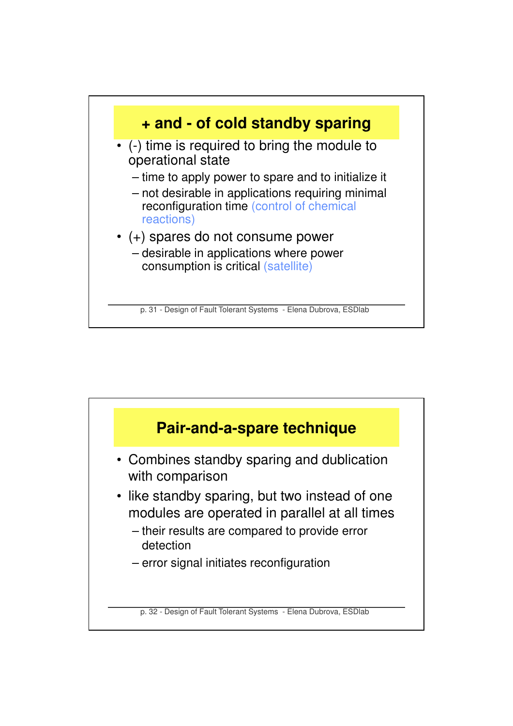

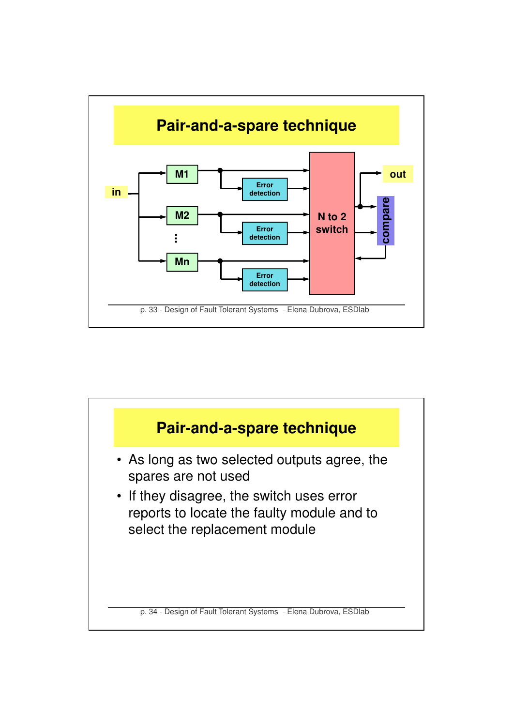

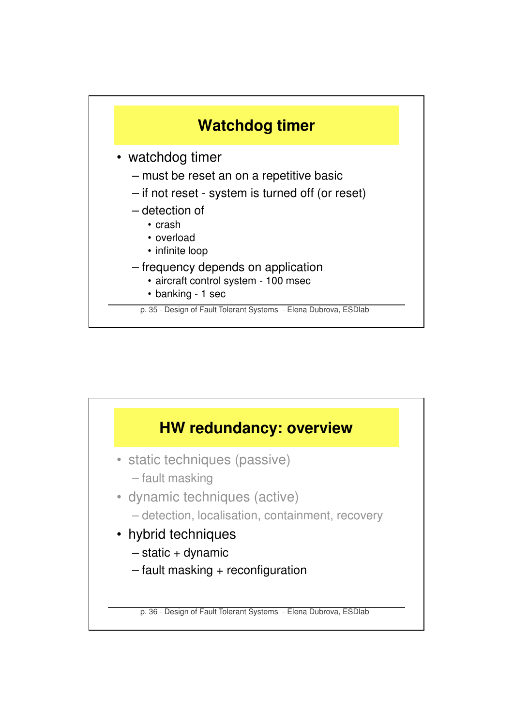

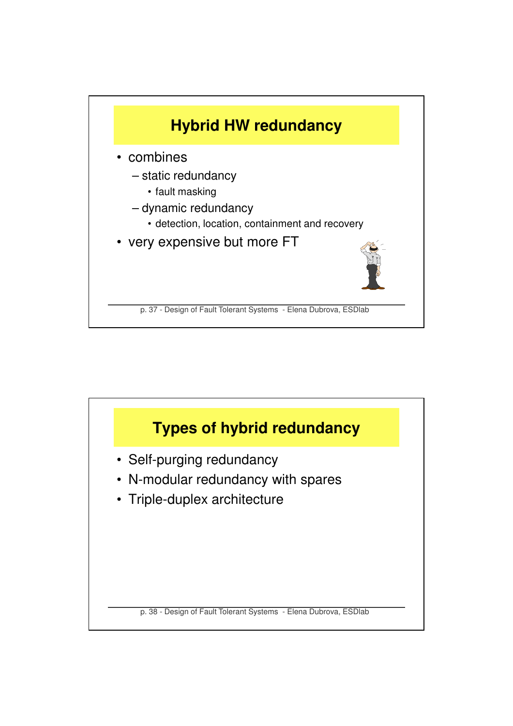

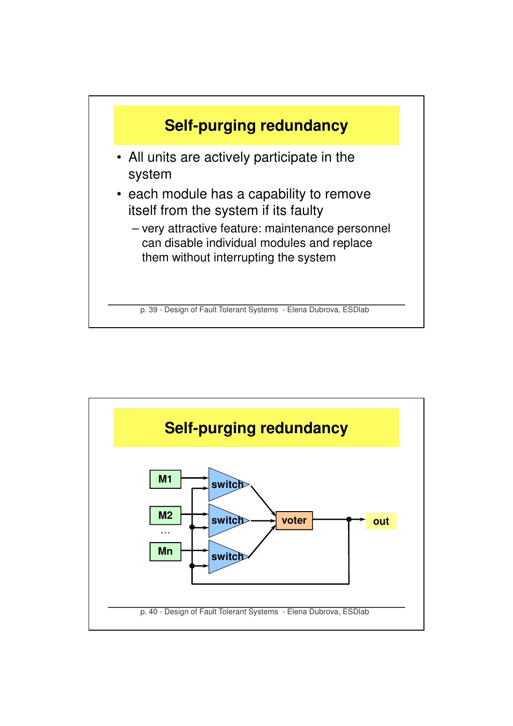

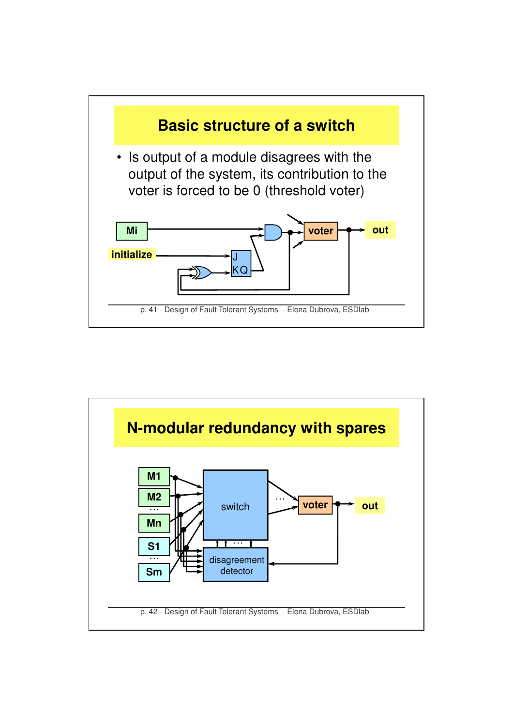

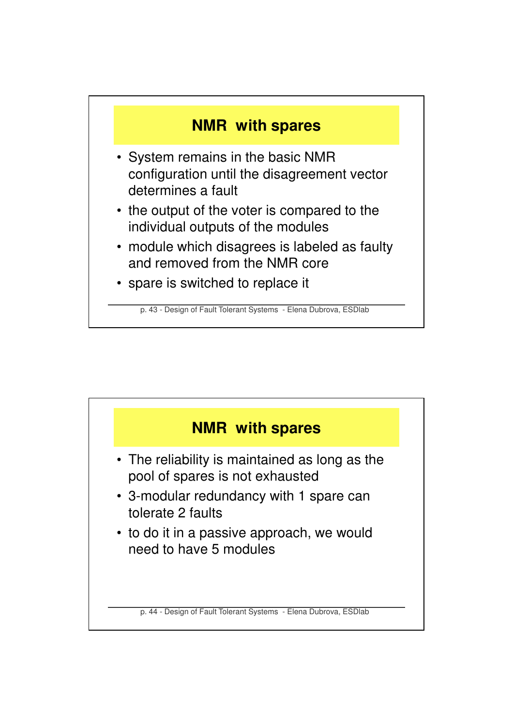

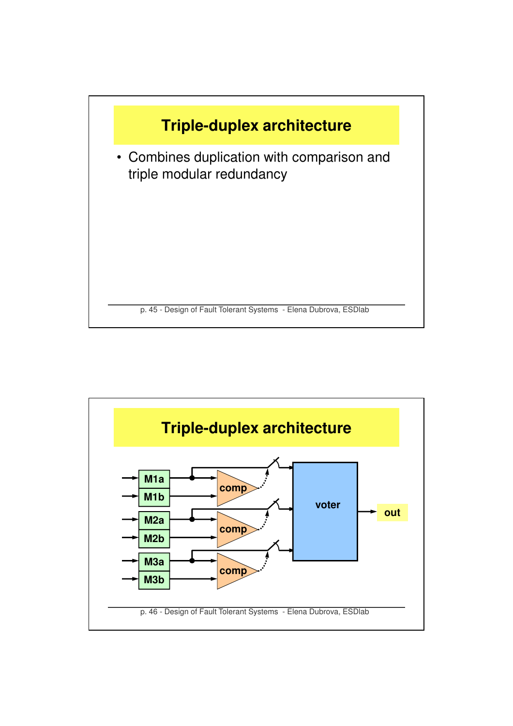

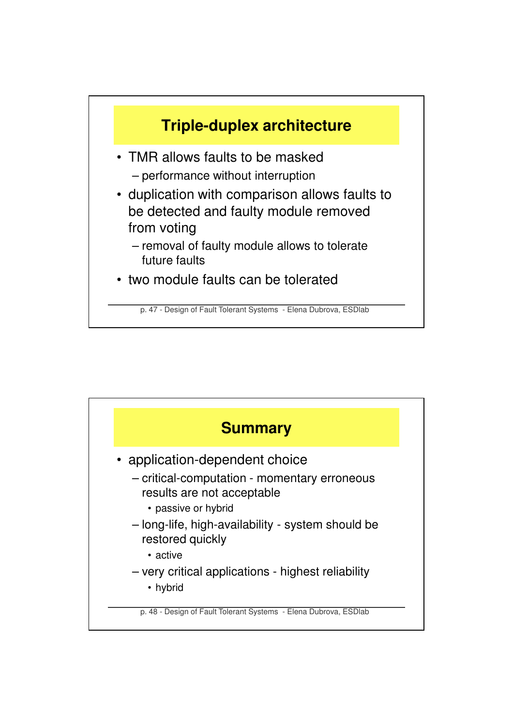